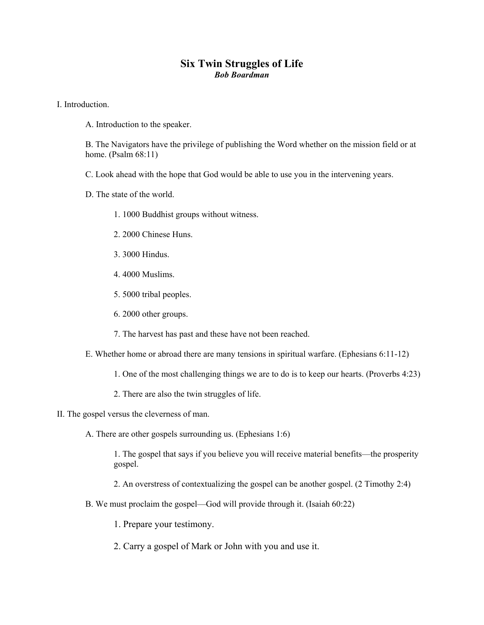## **Six Twin Struggles of Life**  *Bob Boardman*

I. Introduction.

A. Introduction to the speaker.

B. The Navigators have the privilege of publishing the Word whether on the mission field or at home. (Psalm 68:11)

C. Look ahead with the hope that God would be able to use you in the intervening years.

D. The state of the world.

- 1. 1000 Buddhist groups without witness.
- 2. 2000 Chinese Huns.
- 3. 3000 Hindus.
- 4. 4000 Muslims.
- 5. 5000 tribal peoples.
- 6. 2000 other groups.
- 7. The harvest has past and these have not been reached.
- E. Whether home or abroad there are many tensions in spiritual warfare. (Ephesians 6:11-12)
	- 1. One of the most challenging things we are to do is to keep our hearts. (Proverbs 4:23)
	- 2. There are also the twin struggles of life.
- II. The gospel versus the cleverness of man.
	- A. There are other gospels surrounding us. (Ephesians 1:6)

1. The gospel that says if you believe you will receive material benefits—the prosperity gospel.

- 2. An overstress of contextualizing the gospel can be another gospel. (2 Timothy 2:4)
- B. We must proclaim the gospel—God will provide through it. (Isaiah 60:22)

1. Prepare your testimony.

2. Carry a gospel of Mark or John with you and use it.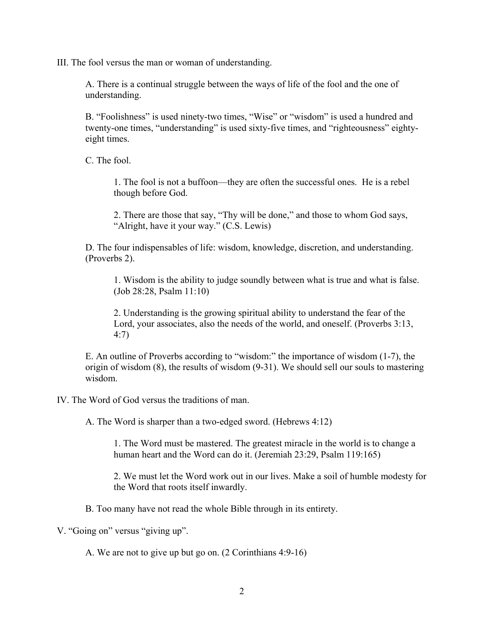III. The fool versus the man or woman of understanding.

A. There is a continual struggle between the ways of life of the fool and the one of understanding.

B. "Foolishness" is used ninety-two times, "Wise" or "wisdom" is used a hundred and twenty-one times, "understanding" is used sixty-five times, and "righteousness" eightyeight times.

C. The fool.

1. The fool is not a buffoon—they are often the successful ones. He is a rebel though before God.

2. There are those that say, "Thy will be done," and those to whom God says, "Alright, have it your way." (C.S. Lewis)

D. The four indispensables of life: wisdom, knowledge, discretion, and understanding. (Proverbs 2).

1. Wisdom is the ability to judge soundly between what is true and what is false. (Job 28:28, Psalm 11:10)

2. Understanding is the growing spiritual ability to understand the fear of the Lord, your associates, also the needs of the world, and oneself. (Proverbs 3:13, 4:7)

E. An outline of Proverbs according to "wisdom:" the importance of wisdom (1-7), the origin of wisdom (8), the results of wisdom (9-31). We should sell our souls to mastering wisdom.

IV. The Word of God versus the traditions of man.

A. The Word is sharper than a two-edged sword. (Hebrews 4:12)

1. The Word must be mastered. The greatest miracle in the world is to change a human heart and the Word can do it. (Jeremiah 23:29, Psalm 119:165)

2. We must let the Word work out in our lives. Make a soil of humble modesty for the Word that roots itself inwardly.

B. Too many have not read the whole Bible through in its entirety.

V. "Going on" versus "giving up".

A. We are not to give up but go on. (2 Corinthians 4:9-16)